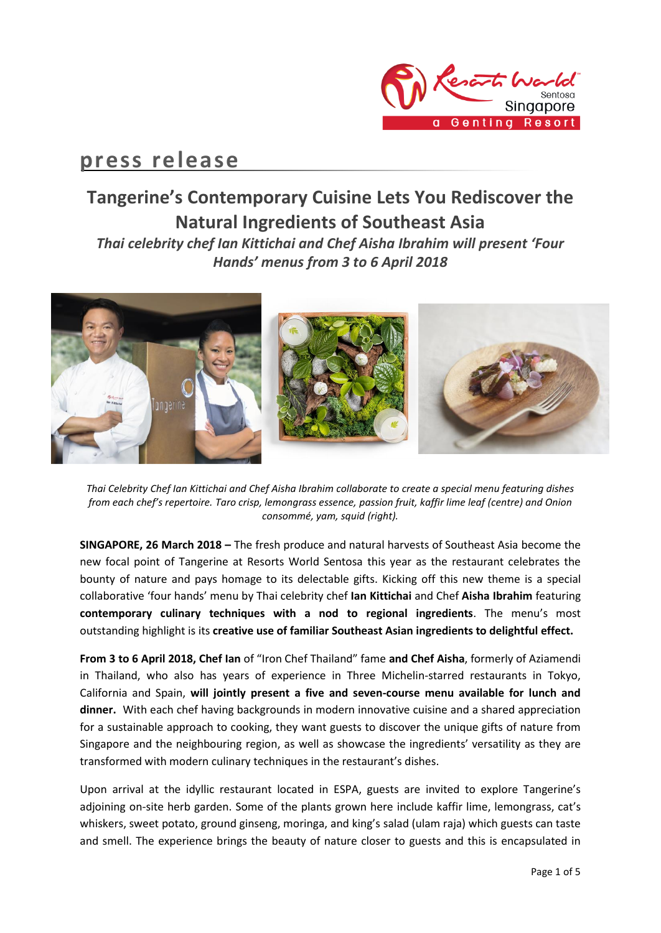

# **press release**

# **Tangerine's Contemporary Cuisine Lets You Rediscover the Natural Ingredients of Southeast Asia**

*Thai celebrity chef Ian Kittichai and Chef Aisha Ibrahim will present 'Four Hands' menus from 3 to 6 April 2018*



*Thai Celebrity Chef Ian Kittichai and Chef Aisha Ibrahim collaborate to create a special menu featuring dishes from each chef's repertoire. Taro crisp, lemongrass essence, passion fruit, kaffir lime leaf (centre) and Onion consommé, yam, squid (right).*

**SINGAPORE, 26 March 2018 –** The fresh produce and natural harvests of Southeast Asia become the new focal point of Tangerine at Resorts World Sentosa this year as the restaurant celebrates the bounty of nature and pays homage to its delectable gifts. Kicking off this new theme is a special collaborative 'four hands' menu by Thai celebrity chef **Ian Kittichai** and Chef **Aisha Ibrahim** featuring **contemporary culinary techniques with a nod to regional ingredients**. The menu's most outstanding highlight is its **creative use of familiar Southeast Asian ingredients to delightful effect.**

**From 3 to 6 April 2018, Chef Ian** of "Iron Chef Thailand" fame **and Chef Aisha**, formerly of Aziamendi in Thailand, who also has years of experience in Three Michelin-starred restaurants in Tokyo, California and Spain, **will jointly present a five and seven-course menu available for lunch and dinner.** With each chef having backgrounds in modern innovative cuisine and a shared appreciation for a sustainable approach to cooking, they want guests to discover the unique gifts of nature from Singapore and the neighbouring region, as well as showcase the ingredients' versatility as they are transformed with modern culinary techniques in the restaurant's dishes.

Upon arrival at the idyllic restaurant located in ESPA, guests are invited to explore Tangerine's adjoining on-site herb garden. Some of the plants grown here include kaffir lime, lemongrass, cat's whiskers, sweet potato, ground ginseng, moringa, and king's salad (ulam raja) which guests can taste and smell. The experience brings the beauty of nature closer to guests and this is encapsulated in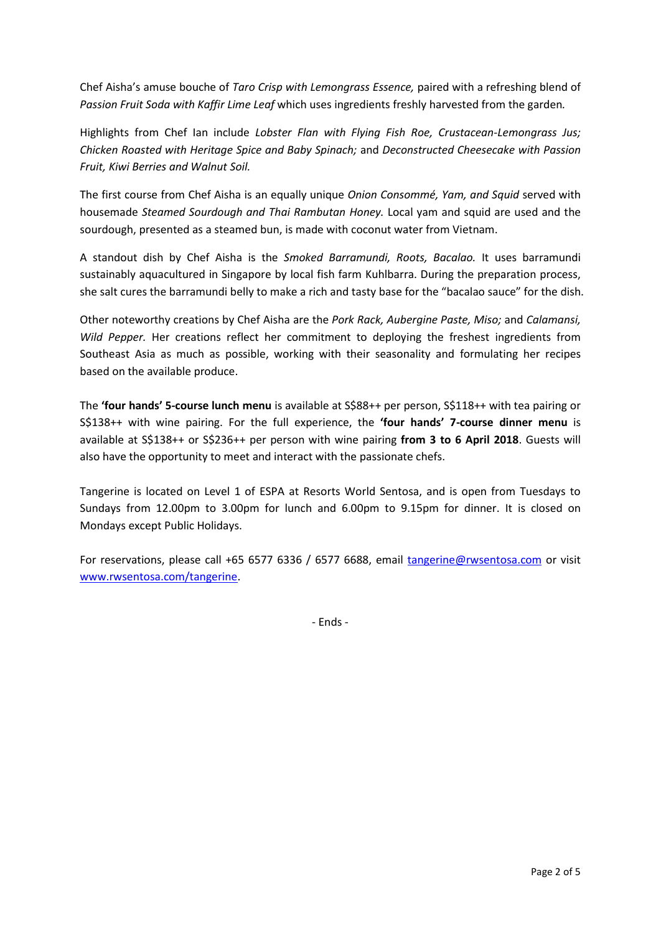Chef Aisha's amuse bouche of *Taro Crisp with Lemongrass Essence,* paired with a refreshing blend of *Passion Fruit Soda with Kaffir Lime Leaf* which uses ingredients freshly harvested from the garden*.*

Highlights from Chef Ian include *Lobster Flan with Flying Fish Roe, Crustacean-Lemongrass Jus; Chicken Roasted with Heritage Spice and Baby Spinach;* and *Deconstructed Cheesecake with Passion Fruit, Kiwi Berries and Walnut Soil.*

The first course from Chef Aisha is an equally unique *Onion Consommé, Yam, and Squid* served with housemade *Steamed Sourdough and Thai Rambutan Honey.* Local yam and squid are used and the sourdough, presented as a steamed bun, is made with coconut water from Vietnam.

A standout dish by Chef Aisha is the *Smoked Barramundi, Roots, Bacalao.* It uses barramundi sustainably aquacultured in Singapore by local fish farm Kuhlbarra. During the preparation process, she salt cures the barramundi belly to make a rich and tasty base for the "bacalao sauce" for the dish.

Other noteworthy creations by Chef Aisha are the *Pork Rack, Aubergine Paste, Miso;* and *Calamansi, Wild Pepper.* Her creations reflect her commitment to deploying the freshest ingredients from Southeast Asia as much as possible, working with their seasonality and formulating her recipes based on the available produce.

The **'four hands' 5-course lunch menu** is available at S\$88++ per person, S\$118++ with tea pairing or S\$138++ with wine pairing. For the full experience, the **'four hands' 7-course dinner menu** is available at S\$138++ or S\$236++ per person with wine pairing **from 3 to 6 April 2018**. Guests will also have the opportunity to meet and interact with the passionate chefs.

Tangerine is located on Level 1 of ESPA at Resorts World Sentosa, and is open from Tuesdays to Sundays from 12.00pm to 3.00pm for lunch and 6.00pm to 9.15pm for dinner. It is closed on Mondays except Public Holidays.

For reservations, please call +65 6577 6336 / 6577 6688, email [tangerine@rwsentosa.com](mailto:tangerine@rwsentosa.com) or visit [www.rwsentosa.com/tangerine.](http://www.rwsentosa.com/tangerine)

- Ends -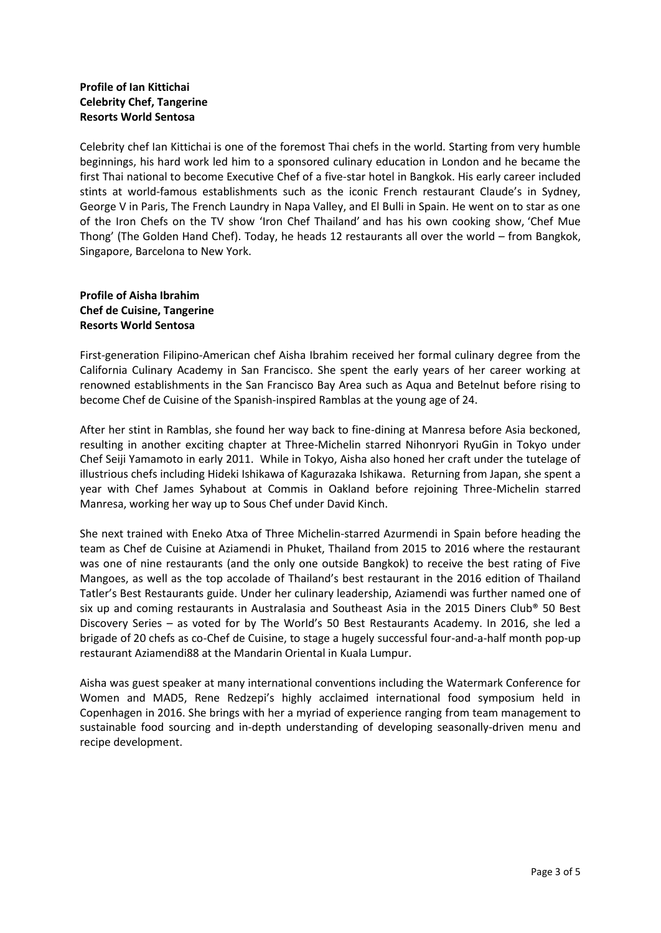## **Profile of Ian Kittichai Celebrity Chef, Tangerine Resorts World Sentosa**

Celebrity chef Ian Kittichai is one of the foremost Thai chefs in the world. Starting from very humble beginnings, his hard work led him to a sponsored culinary education in London and he became the first Thai national to become Executive Chef of a five-star hotel in Bangkok. His early career included stints at world-famous establishments such as the iconic French restaurant Claude's in Sydney, George V in Paris, The French Laundry in Napa Valley, and El Bulli in Spain. He went on to star as one of the Iron Chefs on the TV show 'Iron Chef Thailand' and has his own cooking show, 'Chef Mue Thong' (The Golden Hand Chef). Today, he heads 12 restaurants all over the world – from Bangkok, Singapore, Barcelona to New York.

### **Profile of Aisha Ibrahim Chef de Cuisine, Tangerine Resorts World Sentosa**

First-generation Filipino-American chef Aisha Ibrahim received her formal culinary degree from the California Culinary Academy in San Francisco. She spent the early years of her career working at renowned establishments in the San Francisco Bay Area such as Aqua and Betelnut before rising to become Chef de Cuisine of the Spanish-inspired Ramblas at the young age of 24.

After her stint in Ramblas, she found her way back to fine-dining at Manresa before Asia beckoned, resulting in another exciting chapter at Three-Michelin starred Nihonryori RyuGin in Tokyo under Chef Seiji Yamamoto in early 2011. While in Tokyo, Aisha also honed her craft under the tutelage of illustrious chefs including Hideki Ishikawa of Kagurazaka Ishikawa. Returning from Japan, she spent a year with Chef James Syhabout at Commis in Oakland before rejoining Three-Michelin starred Manresa, working her way up to Sous Chef under David Kinch.

She next trained with Eneko Atxa of Three Michelin-starred Azurmendi in Spain before heading the team as Chef de Cuisine at Aziamendi in Phuket, Thailand from 2015 to 2016 where the restaurant was one of nine restaurants (and the only one outside Bangkok) to receive the best rating of Five Mangoes, as well as the top accolade of Thailand's best restaurant in the 2016 edition of Thailand Tatler's Best Restaurants guide. Under her culinary leadership, Aziamendi was further named one of six up and coming restaurants in Australasia and Southeast Asia in the 2015 Diners Club® 50 Best Discovery Series – as voted for by The World's 50 Best Restaurants Academy. In 2016, she led a brigade of 20 chefs as co-Chef de Cuisine, to stage a hugely successful four-and-a-half month pop-up restaurant Aziamendi88 at the Mandarin Oriental in Kuala Lumpur.

Aisha was guest speaker at many international conventions including the Watermark Conference for Women and MAD5, Rene Redzepi's highly acclaimed international food symposium held in Copenhagen in 2016. She brings with her a myriad of experience ranging from team management to sustainable food sourcing and in-depth understanding of developing seasonally-driven menu and recipe development.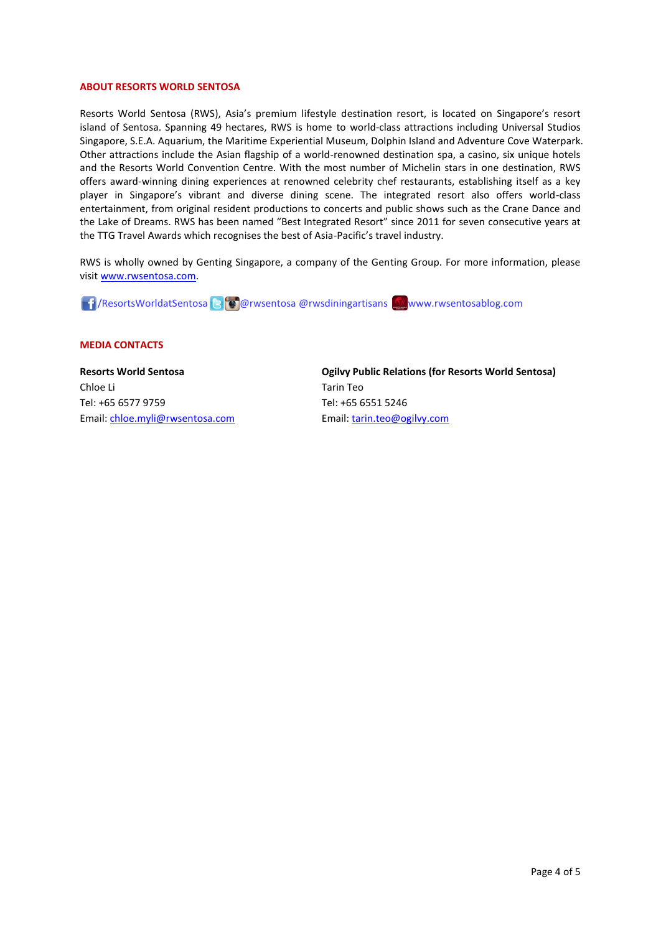#### **ABOUT RESORTS WORLD SENTOSA**

Resorts World Sentosa (RWS), Asia's premium lifestyle destination resort, is located on Singapore's resort island of Sentosa. Spanning 49 hectares, RWS is home to world-class attractions including Universal Studios Singapore, S.E.A. Aquarium, the Maritime Experiential Museum, Dolphin Island and Adventure Cove Waterpark. Other attractions include the Asian flagship of a world-renowned destination spa, a casino, six unique hotels and the Resorts World Convention Centre. With the most number of Michelin stars in one destination, RWS offers award-winning dining experiences at renowned celebrity chef restaurants, establishing itself as a key player in Singapore's vibrant and diverse dining scene. The integrated resort also offers world-class entertainment, from original resident productions to concerts and public shows such as the Crane Dance and the Lake of Dreams. RWS has been named "Best Integrated Resort" since 2011 for seven consecutive years at the TTG Travel Awards which recognises the best of Asia-Pacific's travel industry.

RWS is wholly owned by Genting Singapore, a company of the Genting Group. For more information, please visi[t www.rwsentosa.com.](http://www.rwsentosa.com/)

17/ResortsWorldatSentosa & @ @rwsentosa @rwsdiningartisans www.rwsentosablog.com

#### **MEDIA CONTACTS**

**Resorts World Sentosa** Chloe Li Tel: +65 6577 9759 Email: [chloe.myli@rwsentosa.com](mailto:chloe.myli@rwsentosa.com) **Ogilvy Public Relations (for Resorts World Sentosa)**  Tarin Teo Tel: +65 6551 5246 Email: [tarin.teo@ogilvy.com](mailto:tarin.teo@ogilvy.com)